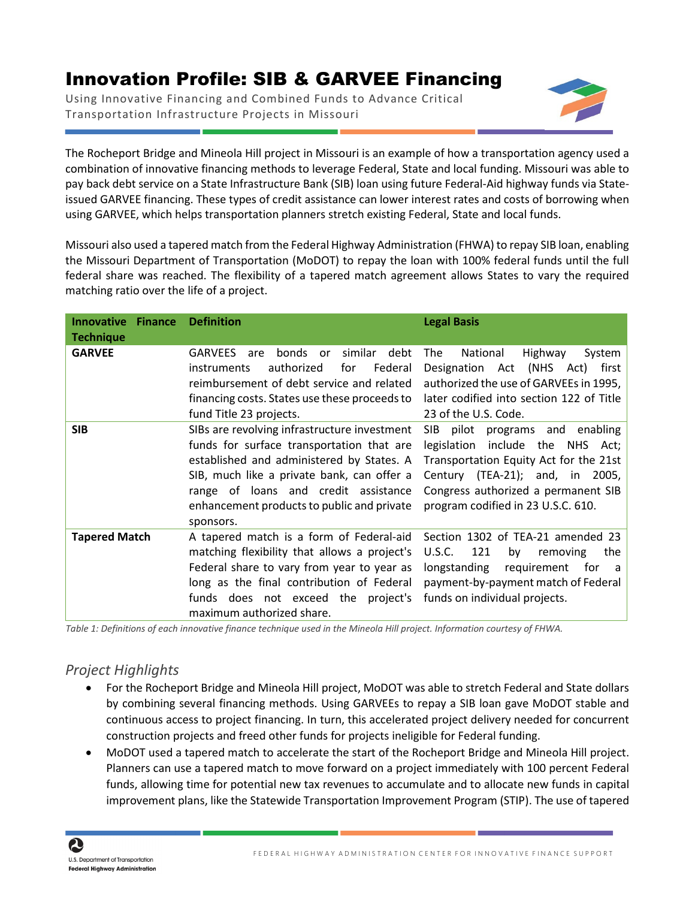## Innovation Profile: SIB & GARVEE Financing

Using Innovative Financing and Combined Funds to Advance Critical Transportation Infrastructure Projects in Missouri



The Rocheport Bridge and Mineola Hill project in Missouri is an example of how a transportation agency used a combination of innovative financing methods to leverage Federal, State and local funding. Missouri was able to pay back debt service on a State Infrastructure Bank (SIB) loan using future Federal-Aid highway funds via Stateissued GARVEE financing. These types of credit assistance can lower interest rates and costs of borrowing when using GARVEE, which helps transportation planners stretch existing Federal, State and local funds.

Missouri also used a tapered match from the Federal Highway Administration (FHWA) to repay SIB loan, enabling the Missouri Department of Transportation (MoDOT) to repay the loan with 100% federal funds until the full federal share was reached. The flexibility of a tapered match agreement allows States to vary the required matching ratio over the life of a project.

| <b>Innovative</b><br><b>Finance</b><br><b>Technique</b> | <b>Definition</b>                                                                                                                                                                                                                                                                       | <b>Legal Basis</b>                                                                                                                                                                                                                      |
|---------------------------------------------------------|-----------------------------------------------------------------------------------------------------------------------------------------------------------------------------------------------------------------------------------------------------------------------------------------|-----------------------------------------------------------------------------------------------------------------------------------------------------------------------------------------------------------------------------------------|
| <b>GARVEE</b>                                           | bonds<br>similar debt<br><b>GARVEES</b><br><b>or</b><br>are<br>authorized<br>Federal<br>instruments<br>for<br>reimbursement of debt service and related<br>financing costs. States use these proceeds to<br>fund Title 23 projects.                                                     | The<br>National<br>Highway<br>System<br>Act (NHS<br>first<br>Designation<br>Act)<br>authorized the use of GARVEEs in 1995,<br>later codified into section 122 of Title<br>23 of the U.S. Code.                                          |
| <b>SIB</b>                                              | SIBs are revolving infrastructure investment<br>funds for surface transportation that are<br>established and administered by States. A<br>SIB, much like a private bank, can offer a<br>range of loans and credit assistance<br>enhancement products to public and private<br>sponsors. | <b>SIB</b><br>pilot programs and enabling<br>legislation include the NHS Act;<br>Transportation Equity Act for the 21st<br>Century (TEA-21); and, in 2005,<br>Congress authorized a permanent SIB<br>program codified in 23 U.S.C. 610. |
| <b>Tapered Match</b>                                    | A tapered match is a form of Federal-aid<br>matching flexibility that allows a project's<br>Federal share to vary from year to year as<br>long as the final contribution of Federal<br>funds does not exceed the project's<br>maximum authorized share.                                 | Section 1302 of TEA-21 amended 23<br>U.S.C.<br>121<br>by<br>the<br>removing<br>longstanding<br>requirement<br>tor –<br>a<br>payment-by-payment match of Federal<br>funds on individual projects.                                        |

*Table 1: Definitions of each innovative finance technique used in the Mineola Hill project. Information courtesy of FHWA.*

## *Project Highlights*

- For the Rocheport Bridge and Mineola Hill project, MoDOT was able to stretch Federal and State dollars by combining several financing methods. Using GARVEEs to repay a SIB loan gave MoDOT stable and continuous access to project financing. In turn, this accelerated project delivery needed for concurrent construction projects and freed other funds for projects ineligible for Federal funding.
- MoDOT used a tapered match to accelerate the start of the Rocheport Bridge and Mineola Hill project. Planners can use a tapered match to move forward on a project immediately with 100 percent Federal funds, allowing time for potential new tax revenues to accumulate and to allocate new funds in capital improvement plans, like the Statewide Transportation Improvement Program (STIP). The use of tapered